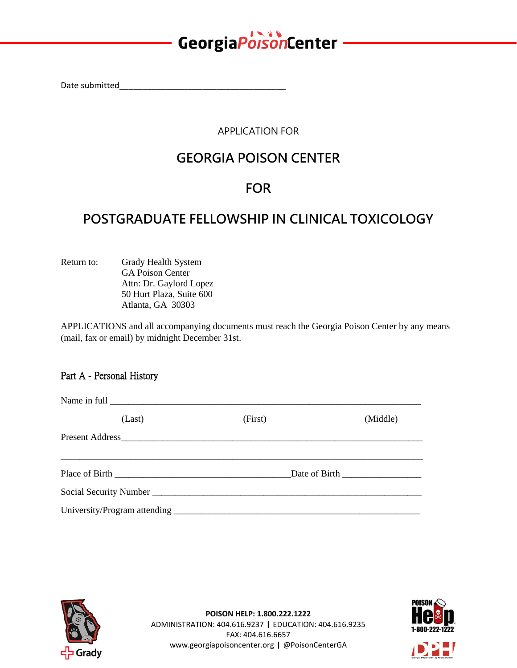## GeorgiaPoisonCenter

Date submitted\_

APPLICATION FOR

## **GEORGIA POISON CENTER**

### **FOR**

### **POSTGRADUATE FELLOWSHIP IN CLINICAL TOXICOLOGY**

Return to: Grady Health System GA Poison Center Attn: Dr. Gaylord Lopez 50 Hurt Plaza, Suite 600 Atlanta, GA 30303

APPLICATIONS and all accompanying documents must reach the Georgia Poison Center by any means (mail, fax or email) by midnight December 31st.

#### Part A - Personal History

| (Last) | (First) | (Middle) |  |
|--------|---------|----------|--|
|        |         |          |  |
|        |         |          |  |
|        |         |          |  |
|        |         |          |  |





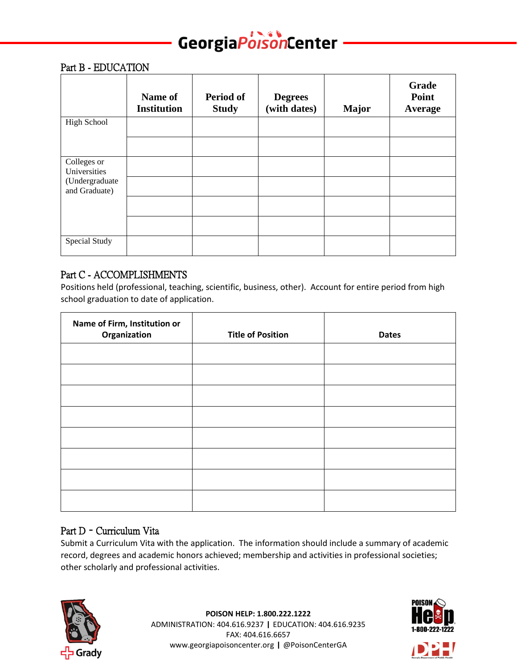## GeorgiaPorsonCenter

#### Part B - EDUCATION

|                                 | Name of<br><b>Institution</b> | Period of<br><b>Study</b> | <b>Degrees</b><br>(with dates) | <b>Major</b> | Grade<br>Point<br><b>Average</b> |
|---------------------------------|-------------------------------|---------------------------|--------------------------------|--------------|----------------------------------|
| <b>High School</b>              |                               |                           |                                |              |                                  |
|                                 |                               |                           |                                |              |                                  |
| Colleges or<br>Universities     |                               |                           |                                |              |                                  |
| (Undergraduate<br>and Graduate) |                               |                           |                                |              |                                  |
|                                 |                               |                           |                                |              |                                  |
|                                 |                               |                           |                                |              |                                  |
| Special Study                   |                               |                           |                                |              |                                  |

#### Part C - ACCOMPLISHMENTS

Positions held (professional, teaching, scientific, business, other). Account for entire period from high school graduation to date of application.

| Name of Firm, Institution or<br>Organization | <b>Title of Position</b> | <b>Dates</b> |
|----------------------------------------------|--------------------------|--------------|
|                                              |                          |              |
|                                              |                          |              |
|                                              |                          |              |
|                                              |                          |              |
|                                              |                          |              |
|                                              |                          |              |
|                                              |                          |              |
|                                              |                          |              |

#### Part D – Curriculum Vita

Submit a Curriculum Vita with the application. The information should include a summary of academic record, degrees and academic honors achieved; membership and activities in professional societies; other scholarly and professional activities.



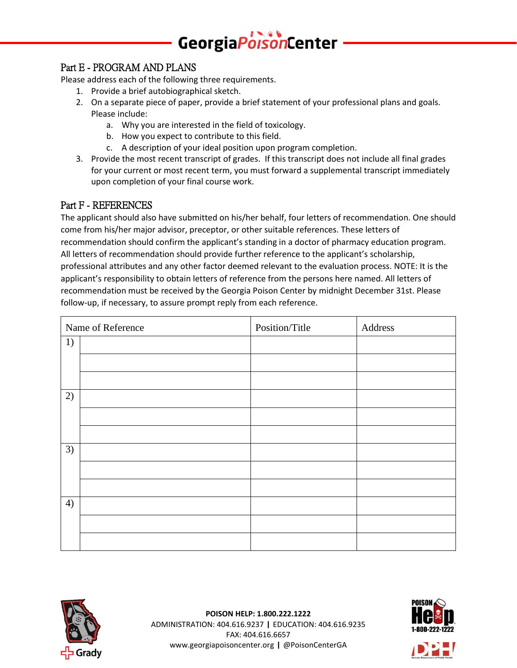# GeorgiaPorsonCenter

#### Part E - PROGRAM AND PLANS

Please address each of the following three requirements.

- 1. Provide a brief autobiographical sketch.
- 2. On a separate piece of paper, provide a brief statement of your professional plans and goals. Please include:
	- a. Why you are interested in the field of toxicology.
	- b. How you expect to contribute to this field.
	- c. A description of your ideal position upon program completion.
- 3. Provide the most recent transcript of grades. If this transcript does not include all final grades for your current or most recent term, you must forward a supplemental transcript immediately upon completion of your final course work.

#### Part F - REFERENCES

The applicant should also have submitted on his/her behalf, four letters of recommendation. One should come from his/her major advisor, preceptor, or other suitable references. These letters of recommendation should confirm the applicant's standing in a doctor of pharmacy education program. All letters of recommendation should provide further reference to the applicant's scholarship, professional attributes and any other factor deemed relevant to the evaluation process. NOTE: It is the applicant's responsibility to obtain letters of reference from the persons here named. All letters of recommendation must be received by the Georgia Poison Center by midnight December 31st. Please follow-up, if necessary, to assure prompt reply from each reference.

|    | Name of Reference | Position/Title | Address |
|----|-------------------|----------------|---------|
| 1) |                   |                |         |
|    |                   |                |         |
|    |                   |                |         |
| 2) |                   |                |         |
|    |                   |                |         |
|    |                   |                |         |
| 3) |                   |                |         |
|    |                   |                |         |
|    |                   |                |         |
| 4) |                   |                |         |
|    |                   |                |         |
|    |                   |                |         |





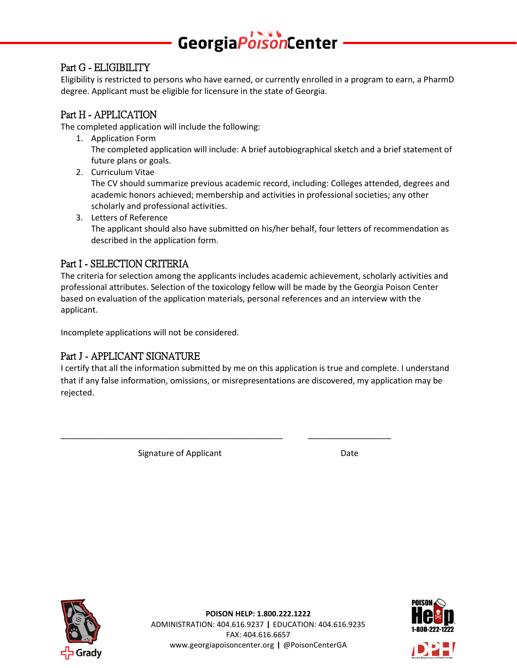## GeorgiaPoisonCenter

#### Part G - ELIGIBILITY

Eligibility is restricted to persons who have earned, or currently enrolled in a program to earn, a PharmD degree. Applicant must be eligible for licensure in the state of Georgia.

#### Part H - APPLICATION

The completed application will include the following:

- 1. Application Form The completed application will include: A brief autobiographical sketch and a brief statement of future plans or goals.
- 2. Curriculum Vitae

The CV should summarize previous academic record, including: Colleges attended, degrees and academic honors achieved; membership and activities in professional societies; any other scholarly and professional activities.

3. Letters of Reference The applicant should also have submitted on his/her behalf, four letters of recommendation as described in the application form.

#### Part I - SELECTION CRITERIA

The criteria for selection among the applicants includes academic achievement, scholarly activities and professional attributes. Selection of the toxicology fellow will be made by the Georgia Poison Center based on evaluation of the application materials, personal references and an interview with the applicant.

Incomplete applications will not be considered.

#### Part J - APPLICANT SIGNATURE

I certify that all the information submitted by me on this application is true and complete. I understand that if any false information, omissions, or misrepresentations are discovered, my application may be rejected.

\_\_\_\_\_\_\_\_\_\_\_\_\_\_\_\_\_\_\_\_\_\_\_\_\_\_\_\_\_\_\_\_\_\_\_\_\_\_\_\_\_\_\_\_\_\_\_\_ \_\_\_\_\_\_\_\_\_\_\_\_\_\_\_\_\_\_

Signature of Applicant Date